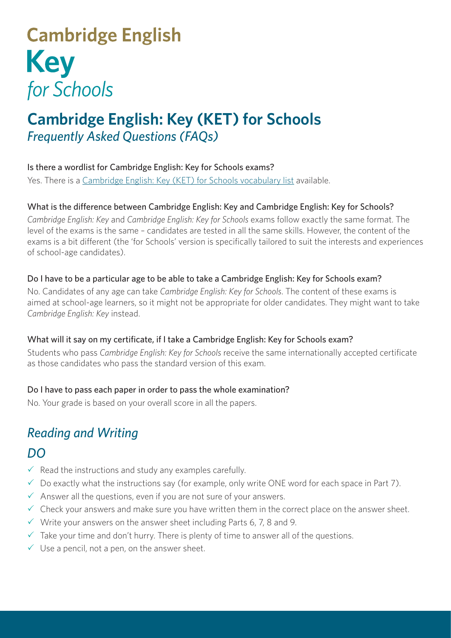# **Cambridge English Key** for Schools

# **Cambridge English: Key (KET) for Schools** *Frequently Asked Questions (FAQs)*

#### Is there a wordlist for Cambridge English: Key for Schools exams?

Yes. There is a [Cambridge English: Key \(KET\) for Schools vocabulary list](http://www.cambridgeenglish.org/images/22105-ket-vocabulary-list.pdf) available.

#### What is the difference between Cambridge English: Key and Cambridge English: Key for Schools?

*Cambridge English: Key* and *Cambridge English: Key for Schools* exams follow exactly the same format. The level of the exams is the same – candidates are tested in all the same skills. However, the content of the exams is a bit different (the 'for Schools' version is specifically tailored to suit the interests and experiences of school-age candidates).

#### Do I have to be a particular age to be able to take a Cambridge English: Key for Schools exam?

No. Candidates of any age can take *Cambridge English: Key for Schools*. The content of these exams is aimed at school-age learners, so it might not be appropriate for older candidates. They might want to take *Cambridge English: Key* instead.

#### What will it say on my certificate, if I take a Cambridge English: Key for Schools exam?

Students who pass *Cambridge English: Key for Schools* receive the same internationally accepted certificate as those candidates who pass the standard version of this exam.

#### Do I have to pass each paper in order to pass the whole examination?

No. Your grade is based on your overall score in all the papers.

## *Reading and Writing*

### *DO*

- $\checkmark$  Read the instructions and study any examples carefully.
- $\checkmark$  Do exactly what the instructions say (for example, only write ONE word for each space in Part 7).
- $\checkmark$  Answer all the questions, even if you are not sure of your answers.
- $\checkmark$  Check your answers and make sure you have written them in the correct place on the answer sheet.
- $\checkmark$  Write your answers on the answer sheet including Parts 6, 7, 8 and 9.
- $\checkmark$  Take your time and don't hurry. There is plenty of time to answer all of the questions.
- $\checkmark$  Use a pencil, not a pen, on the answer sheet.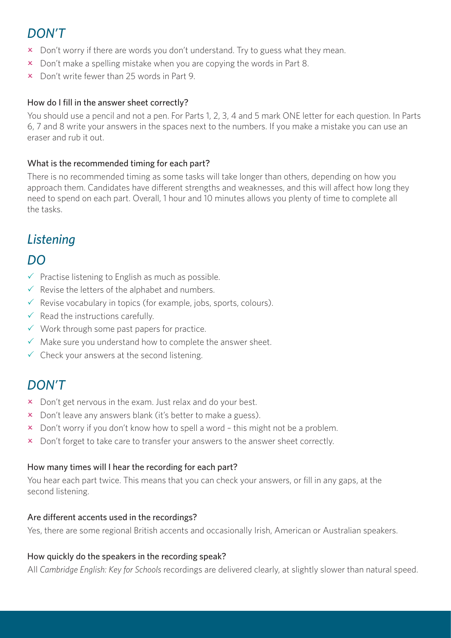### *DON'T*

- x Don't worry if there are words you don't understand. Try to guess what they mean.
- $\overline{\mathsf{x}}$  Don't make a spelling mistake when you are copying the words in Part 8.
- $\times$  Don't write fewer than 25 words in Part 9.

#### How do I fill in the answer sheet correctly?

You should use a pencil and not a pen. For Parts 1, 2, 3, 4 and 5 mark ONE letter for each question. In Parts 6, 7 and 8 write your answers in the spaces next to the numbers. If you make a mistake you can use an eraser and rub it out.

#### What is the recommended timing for each part?

There is no recommended timing as some tasks will take longer than others, depending on how you approach them. Candidates have different strengths and weaknesses, and this will affect how long they need to spend on each part. Overall, 1 hour and 10 minutes allows you plenty of time to complete all the tasks.

### *Listening*

### *DO*

- $\checkmark$  Practise listening to English as much as possible.
- $\checkmark$  Revise the letters of the alphabet and numbers.
- $\checkmark$  Revise vocabulary in topics (for example, jobs, sports, colours).
- $\checkmark$  Read the instructions carefully.
- $\checkmark$  Work through some past papers for practice.
- $\checkmark$  Make sure you understand how to complete the answer sheet.
- $\checkmark$  Check your answers at the second listening.

### *DON'T*

- $\times$  Don't get nervous in the exam. Just relax and do your best.
- x Don't leave any answers blank (it's better to make a guess).
- x Don't worry if you don't know how to spell a word this might not be a problem.
- x Don't forget to take care to transfer your answers to the answer sheet correctly.

#### How many times will I hear the recording for each part?

You hear each part twice. This means that you can check your answers, or fill in any gaps, at the second listening.

#### Are different accents used in the recordings?

Yes, there are some regional British accents and occasionally Irish, American or Australian speakers.

#### How quickly do the speakers in the recording speak?

All *Cambridge English: Key for Schools* recordings are delivered clearly, at slightly slower than natural speed.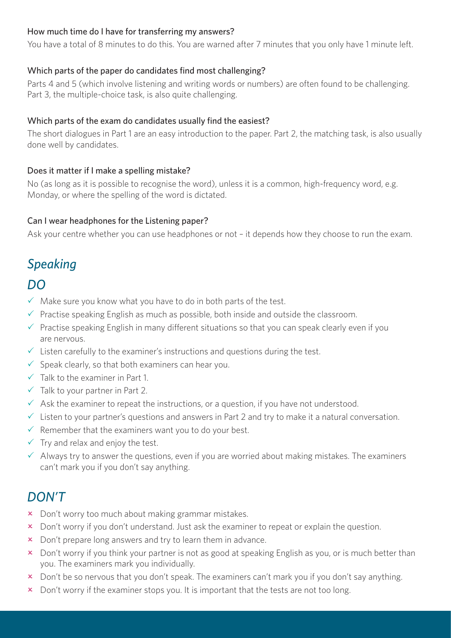#### How much time do I have for transferring my answers?

You have a total of 8 minutes to do this. You are warned after 7 minutes that you only have 1 minute left.

#### Which parts of the paper do candidates find most challenging?

Parts 4 and 5 (which involve listening and writing words or numbers) are often found to be challenging. Part 3, the multiple-choice task, is also quite challenging.

#### Which parts of the exam do candidates usually find the easiest?

The short dialogues in Part 1 are an easy introduction to the paper. Part 2, the matching task, is also usually done well by candidates.

#### Does it matter if I make a spelling mistake?

No (as long as it is possible to recognise the word), unless it is a common, high-frequency word, e.g. Monday, or where the spelling of the word is dictated.

#### Can I wear headphones for the Listening paper?

Ask your centre whether you can use headphones or not – it depends how they choose to run the exam.

### *Speaking*

### *DO*

- $\checkmark$  Make sure you know what you have to do in both parts of the test.
- $\checkmark$  Practise speaking English as much as possible, both inside and outside the classroom.
- $\checkmark$  Practise speaking English in many different situations so that you can speak clearly even if you are nervous.
- $\checkmark$  Listen carefully to the examiner's instructions and questions during the test.
- $\checkmark$  Speak clearly, so that both examiners can hear you.
- $\checkmark$  Talk to the examiner in Part 1.
- $\checkmark$  Talk to your partner in Part 2.
- $\checkmark$  Ask the examiner to repeat the instructions, or a question, if you have not understood.
- $\checkmark$  Listen to your partner's questions and answers in Part 2 and try to make it a natural conversation.
- $\checkmark$  Remember that the examiners want you to do your best.
- $\checkmark$  Try and relax and enjoy the test.
- $\checkmark$  Always try to answer the questions, even if you are worried about making mistakes. The examiners can't mark you if you don't say anything.

### *DON'T*

- x Don't worry too much about making grammar mistakes.
- x Don't worry if you don't understand. Just ask the examiner to repeat or explain the question.
- $\boldsymbol{\times}$  Don't prepare long answers and try to learn them in advance.
- **x** Don't worry if you think your partner is not as good at speaking English as you, or is much better than you. The examiners mark you individually.
- x Don't be so nervous that you don't speak. The examiners can't mark you if you don't say anything.
- $\boldsymbol{\times}$  Don't worry if the examiner stops you. It is important that the tests are not too long.